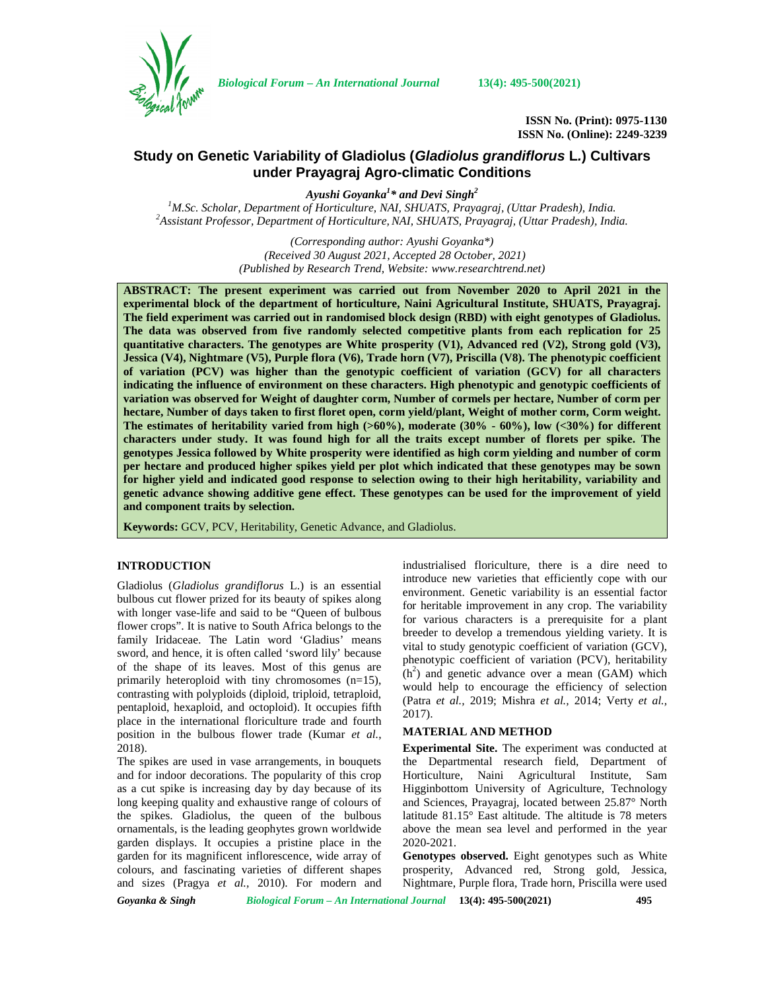

*Biological Forum – An International Journal* **13(4): 495-500(2021)**

**ISSN No. (Print): 0975-1130 ISSN No. (Online): 2249-3239**

# **Study on Genetic Variability of Gladiolus (***Gladiolus grandiflorus* **L***.***) Cultivars under Prayagraj Agro-climatic Conditions**

*Ayushi Goyanka<sup>1</sup>\* and Devi Singh<sup>2</sup>* <sup>2</sup>Assistant Professor, Department of Horticulture, NAI, SHUATS, Prayagraj, (Uttar Pradesh), India.

> *(Corresponding author: Ayushi Goyanka\*) (Received 30 August 2021, Accepted 28 October, 2021) (Published by Research Trend, Website: [www.researchtrend.net\)](www.researchtrend.net)*

**ABSTRACT: The present experiment was carried out from November 2020 to April 2021 in the experimental block of the department of horticulture, Naini Agricultural Institute, SHUATS, Prayagraj. The field experiment was carried out in randomised block design (RBD) with eight genotypes of Gladiolus. The data was observed from five randomly selected competitive plants from each replication for 25 quantitative characters. The genotypes are White prosperity (V1), Advanced red (V2), Strong gold (V3), Jessica (V4), Nightmare (V5), Purple flora (V6), Trade horn (V7), Priscilla (V8). The phenotypic coefficient of variation (PCV) was higher than the genotypic coefficient of variation (GCV) for all characters indicating the influence of environment on these characters. High phenotypic and genotypic coefficients of variation was observed for Weight of daughter corm, Number of cormels per hectare, Number of corm per hectare, Number of days taken to first floret open, corm yield/plant, Weight of mother corm, Corm weight. The estimates of heritability varied from high (>60%), moderate (30% - 60%), low (<30%) for different characters under study. It was found high for all the traits except number of florets per spike. The genotypes Jessica followed by White prosperity were identified as high corm yielding and number of corm per hectare and produced higher spikes yield per plot which indicated that these genotypes may be sown for higher yield and indicated good response to selection owing to their high heritability, variability and genetic advance showing additive gene effect. These genotypes can be used for the improvement of yield and component traits by selection.**

**Keywords:** GCV, PCV, Heritability, Genetic Advance, and Gladiolus.

## **INTRODUCTION**

Gladiolus (*Gladiolus grandiflorus* L.) is an essential bulbous cut flower prized for its beauty of spikes along with longer vase-life and said to be "Queen of bulbous flower crops". It is native to South Africa belongs to the family Iridaceae. The Latin word 'Gladius' means sword, and hence, it is often called 'sword lily' because of the shape of its leaves. Most of this genus are primarily heteroploid with tiny chromosomes (n=15), contrasting with polyploids (diploid, triploid, tetraploid, pentaploid, hexaploid, and octoploid). It occupies fifth place in the international floriculture trade and fourth position in the bulbous flower trade (Kumar *et al.*, 2018).

The spikes are used in vase arrangements, in bouquets and for indoor decorations. The popularity of this crop as a cut spike is increasing day by day because of its long keeping quality and exhaustive range of colours of the spikes. Gladiolus, the queen of the bulbous ornamentals, is the leading geophytes grown worldwide garden displays. It occupies a pristine place in the garden for its magnificent inflorescence, wide array of colours, and fascinating varieties of different shapes and sizes (Pragya *et al.,* 2010). For modern and

industrialised floriculture, there is a dire need to introduce new varieties that efficiently cope with our environment. Genetic variability is an essential factor for heritable improvement in any crop. The variability for various characters is a prerequisite for a plant breeder to develop a tremendous yielding variety. It is vital to study genotypic coefficient of variation (GCV), phenotypic coefficient of variation (PCV), heritability  $(h<sup>2</sup>)$  and genetic advance over a mean (GAM) which would help to encourage the efficiency of selection (Patra *et al.,* 2019; Mishra *et al.,* 2014; Verty *et al.,* 2017).

#### **MATERIAL AND METHOD**

**Experimental Site.** The experiment was conducted at the Departmental research field, Department of Horticulture, Naini Agricultural Institute, Sam Higginbottom University of Agriculture, Technology and Sciences, Prayagraj, located between 25.87° North latitude 81.15° East altitude. The altitude is 78 meters above the mean sea level and performed in the year 2020-2021.

**Genotypes observed.** Eight genotypes such as White prosperity, Advanced red, Strong gold, Jessica, Nightmare, Purple flora, Trade horn, Priscilla were used

*Goyanka & Singh Biological Forum – An International Journal* **13(4): 495-500(2021) 495**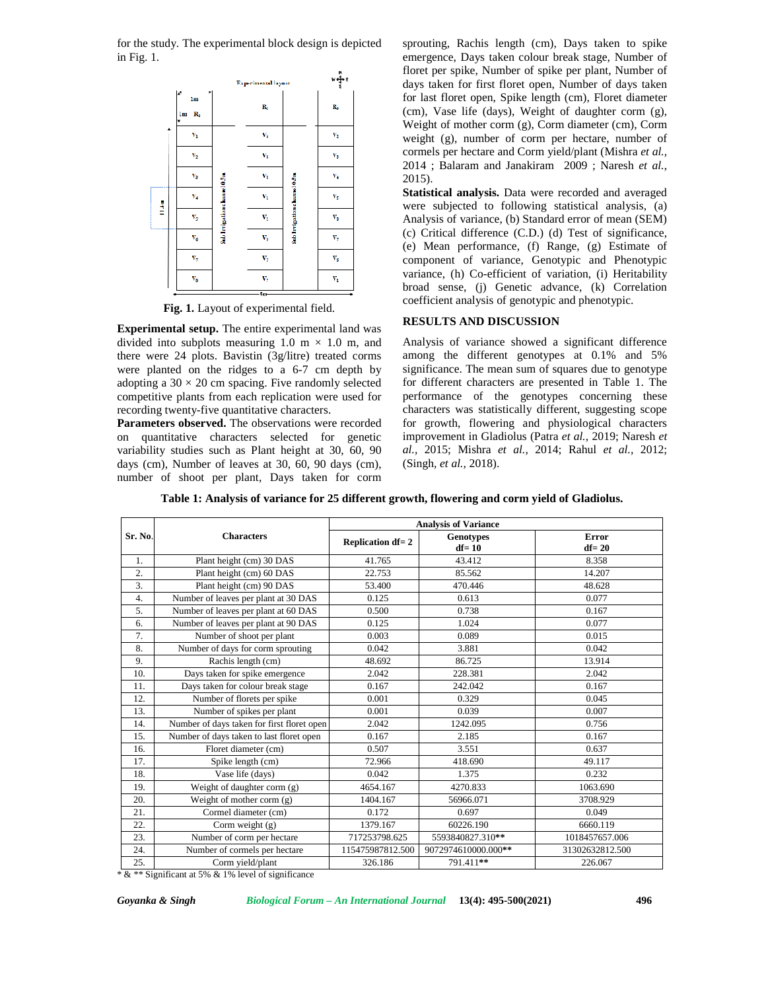for the study. The experimental block design is depicted in Fig. 1.



**Fig. 1.** Layout of experimental field.

**Experimental setup.** The entire experimental land was divided into subplots measuring 1.0 m  $\times$  1.0 m, and there were 24 plots. Bavistin (3g/litre) treated corms were planted on the ridges to a 6-7 cm depth by adopting a  $30 \times 20$  cm spacing. Five randomly selected competitive plants from each replication were used for recording twenty-five quantitative characters.

**Parameters observed.** The observations were recorded on quantitative characters selected for genetic variability studies such as Plant height at 30, 60, 90 days (cm), Number of leaves at 30, 60, 90 days (cm), number of shoot per plant, Days taken for corm sprouting, Rachis length (cm), Days taken to spike emergence, Days taken colour break stage, Number of floret per spike, Number of spike per plant, Number of days taken for first floret open, Number of days taken for last floret open, Spike length (cm), Floret diameter (cm), Vase life (days), Weight of daughter corm (g), Weight of mother corm (g), Corm diameter (cm), Corm weight (g), number of corm per hectare, number of cormels per hectare and Corm yield/plant (Mishra *et al.,* 2014 ; Balaram and Janakiram 2009 ; Naresh *et al.*, 2015).

**Statistical analysis.** Data were recorded and averaged were subjected to following statistical analysis, (a) Analysis of variance, (b) Standard error of mean (SEM) (c) Critical difference (C.D.) (d) Test of significance, (e) Mean performance, (f) Range, (g) Estimate of component of variance, Genotypic and Phenotypic variance, (h) Co-efficient of variation, (i) Heritability broad sense, (j) Genetic advance, (k) Correlation coefficient analysis of genotypic and phenotypic.

### **RESULTS AND DISCUSSION**

Analysis of variance showed a significant difference among the different genotypes at 0.1% and 5% significance. The mean sum of squares due to genotype for different characters are presented in Table 1. The performance of the genotypes concerning these characters was statistically different, suggesting scope for growth, flowering and physiological characters improvement in Gladiolus (Patra *et al.,* 2019; Naresh *et al.,* 2015; Mishra *et al.,* 2014; Rahul *et al.,* 2012; (Singh*, et al.,* 2018).

**Table 1: Analysis of variance for 25 different growth, flowering and corm yield of Gladiolus.**

|                  |                                            | <b>Analysis of Variance</b> |                               |                    |  |  |  |  |  |  |
|------------------|--------------------------------------------|-----------------------------|-------------------------------|--------------------|--|--|--|--|--|--|
| Sr. No.          | <b>Characters</b>                          | <b>Replication df=2</b>     | <b>Genotypes</b><br>$df = 10$ | Error<br>$df = 20$ |  |  |  |  |  |  |
| 1.               | Plant height (cm) 30 DAS                   | 41.765                      | 43.412                        | 8.358              |  |  |  |  |  |  |
| 2.               | Plant height (cm) 60 DAS                   | 22.753                      | 85.562                        | 14.207             |  |  |  |  |  |  |
| 3.               | Plant height (cm) 90 DAS                   | 53.400                      | 470.446                       | 48.628             |  |  |  |  |  |  |
| $\overline{4}$ . | Number of leaves per plant at 30 DAS       | 0.125                       | 0.613                         | 0.077              |  |  |  |  |  |  |
| 5.               | Number of leaves per plant at 60 DAS       | 0.500                       | 0.738                         | 0.167              |  |  |  |  |  |  |
| 6.               | Number of leaves per plant at 90 DAS       | 0.125                       | 1.024                         | 0.077              |  |  |  |  |  |  |
| 7.               | Number of shoot per plant                  | 0.003                       | 0.089                         | 0.015              |  |  |  |  |  |  |
| 8.               | Number of days for corm sprouting          | 0.042                       | 3.881                         | 0.042              |  |  |  |  |  |  |
| 9.               | Rachis length (cm)                         | 48.692                      | 86.725                        | 13.914             |  |  |  |  |  |  |
| 10.              | Days taken for spike emergence             | 2.042                       | 228.381                       | 2.042              |  |  |  |  |  |  |
| 11.              | Days taken for colour break stage          | 0.167                       | 242.042                       | 0.167              |  |  |  |  |  |  |
| 12.              | Number of florets per spike                | 0.001                       | 0.329                         | 0.045              |  |  |  |  |  |  |
| 13.              | Number of spikes per plant                 | 0.001                       | 0.039                         | 0.007              |  |  |  |  |  |  |
| 14.              | Number of days taken for first floret open | 2.042                       | 1242.095                      | 0.756              |  |  |  |  |  |  |
| 15.              | Number of days taken to last floret open   | 0.167                       | 2.185                         | 0.167              |  |  |  |  |  |  |
| 16.              | Floret diameter (cm)                       | 0.507                       | 3.551                         | 0.637              |  |  |  |  |  |  |
| 17.              | Spike length (cm)                          | 72.966                      | 418.690                       | 49.117             |  |  |  |  |  |  |
| 18.              | Vase life (days)                           | 0.042                       | 1.375                         | 0.232              |  |  |  |  |  |  |
| 19.              | Weight of daughter corm (g)                | 4654.167                    | 4270.833                      | 1063.690           |  |  |  |  |  |  |
| 20.              | Weight of mother corm $(g)$                | 1404.167                    | 56966.071                     | 3708.929           |  |  |  |  |  |  |
| 21.              | Cormel diameter (cm)                       | 0.172                       | 0.697                         | 0.049              |  |  |  |  |  |  |
| 22.              | Corm weight $(g)$                          | 1379.167                    | 60226.190                     | 6660.119           |  |  |  |  |  |  |
| 23.              | Number of corm per hectare                 | 717253798.625               | 5593840827.310**              | 1018457657.006     |  |  |  |  |  |  |
| 24.              | Number of cormels per hectare              | 115475987812.500            | 9072974610000.000**           | 31302632812.500    |  |  |  |  |  |  |
| 25.              | Corm yield/plant                           | 326.186                     | 791.411**                     | 226.067            |  |  |  |  |  |  |

\* & \*\* Significant at 5% & 1% level of significance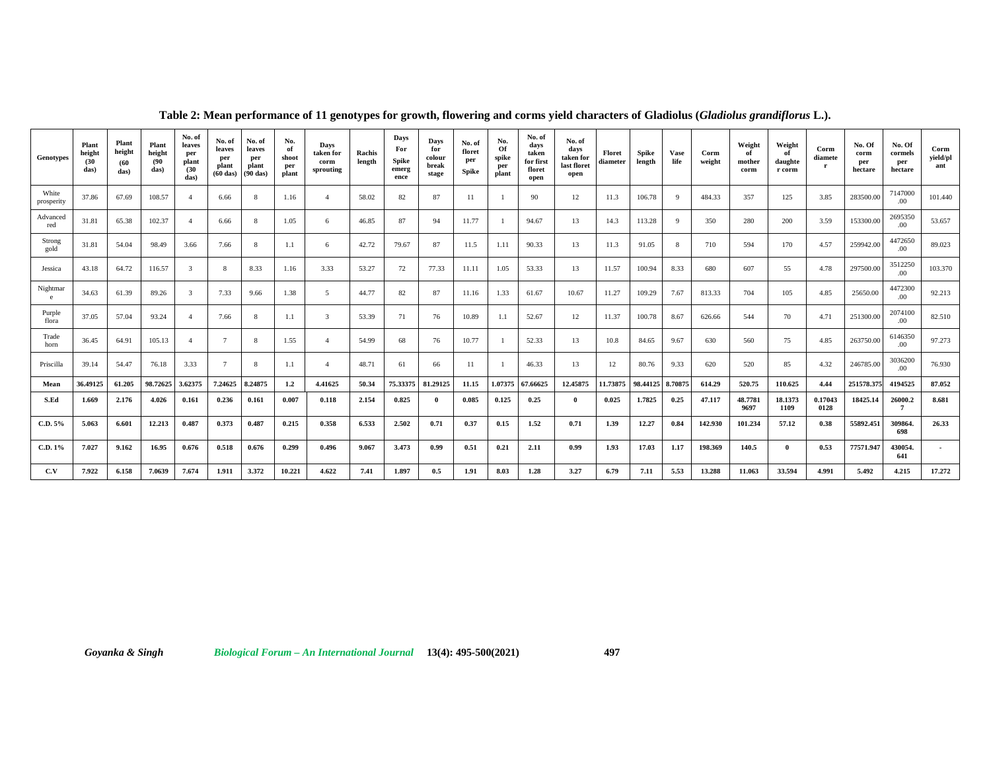| Genotypes           | Plant<br>height<br>(30)<br>das) | Plant<br>height<br>(60)<br>das) | Plant<br>height<br>(90)<br>das) | No. of<br>leaves<br>per<br>plant<br>(30)<br>das) | No. of<br>leaves<br>per<br>plant<br>$(60$ das) | No. of<br>leaves<br>per<br>plant<br>$(90$ das) | No.<br>of<br>shoot<br>per<br>plant | Days<br>taken for<br>corm<br>sprouting | Rachis<br>length | Days<br>For<br>Spike<br>emerg<br>ence | Days<br>for<br>colour<br>break<br>stage | No. of<br>floret<br>per<br>Spike | No.<br>Of<br>spike<br>per<br>plant | No. of<br>days<br>taken<br>for first<br>floret<br>open | No. of<br>days<br>taken for<br>last floret<br>open | Floret<br>diameter | Spike<br>length | Vase<br>life | Corm<br>weight | Weight<br>оf<br>mother<br>corm | Weight<br>- of<br>daughte<br>r corm | Corm<br>diamete | No. Of<br>corm<br>per<br>hectare | No. Of<br>cormels<br>per<br>hectare | Corm<br>yield/pl<br>ant  |  |
|---------------------|---------------------------------|---------------------------------|---------------------------------|--------------------------------------------------|------------------------------------------------|------------------------------------------------|------------------------------------|----------------------------------------|------------------|---------------------------------------|-----------------------------------------|----------------------------------|------------------------------------|--------------------------------------------------------|----------------------------------------------------|--------------------|-----------------|--------------|----------------|--------------------------------|-------------------------------------|-----------------|----------------------------------|-------------------------------------|--------------------------|--|
| White<br>prosperity | 37.86                           | 67.69                           | 108.57                          | -4                                               | 6.66                                           |                                                | 1.16                               |                                        | 58.02            | 82                                    | 87                                      | 11                               |                                    | 90                                                     | 12                                                 | 11.3               | 106.78          | 9            | 484.33         | 357                            | 125                                 | 3.85            | 283500.00                        | 7147000<br>.00                      | 101.440                  |  |
| Advanced<br>red     | 31.81                           | 65.38                           | 102.37                          | -4                                               | 6.66                                           |                                                | 1.05                               | 6                                      | 46.85            | 87                                    | 94                                      | 11.77                            |                                    | 94.67                                                  | 13                                                 | 14.3               | 113.28          | 9            | 350            | 280                            | 200                                 | 3.59            | 153300.00                        | 2695350<br>.00                      | 53.657                   |  |
| Strong<br>gold      | 31.81                           | 54.04                           | 98.49                           | 3.66                                             | 7.66                                           |                                                | 1.1                                | -6                                     | 42.72            | 79.67                                 | 87                                      | 11.5                             | 1.11                               | 90.33                                                  | 13                                                 | 11.3               | 91.05           | 8            | 710            | 594                            | 170                                 | 4.57            | 259942.00                        | 4472650<br>.00                      | 89.023                   |  |
| Jessica             | 43.18                           | 64.72                           | 116.57                          | 3                                                | 8                                              | 8.33                                           | 1.16                               | 3.33                                   | 53.27            | 72                                    | 77.33                                   | 11.11                            | 1.05                               | 53.33                                                  | 13                                                 | 11.57              | 100.94          | 8.33         | 680            | 607                            | 55                                  | 4.78            | 297500.00                        | 3512250<br>.00                      | 103.370                  |  |
| Nightmar<br>e.      | 34.63                           | 61.39                           | 89.26                           | 3                                                | 7.33                                           | 9.66                                           | 1.38                               | -5                                     | 44.77            | 82                                    | 87                                      | 11.16                            | 1.33                               | 61.67                                                  | 10.67                                              | 11.27              | 109.29          | 7.67         | 813.33         | 704                            | 105                                 | 4.85            | 25650.00                         | 4472300<br>.00 <sub>1</sub>         | 92.213                   |  |
| Purple<br>flora     | 37.05                           | 57.04                           | 93.24                           | -4                                               | 7.66                                           |                                                | 1.1                                | 3                                      | 53.39            | 71                                    | 76                                      | 10.89                            | 1.1                                | 52.67                                                  | 12                                                 | 11.37              | 100.78          | 8.67         | 626.66         | 544                            | 70                                  | 4.71            | 251300.00                        | 2074100<br>.00                      | 82.510                   |  |
| Trade<br>horn       | 36.45                           | 64.91                           | 105.13                          | -4                                               | $7\phantom{.0}$                                |                                                | 1.55                               | $\mathcal{A}$                          | 54.99            | 68                                    | 76                                      | 10.77                            |                                    | 52.33                                                  | 13                                                 | 10.8               | 84.65           | 9.67         | 630            | 560                            | 75                                  | 4.85            | 263750.00                        | 6146350<br>.00 <sub>1</sub>         | 97.273                   |  |
| Priscilla           | 39.14                           | 54.47                           | 76.18                           | 3.33                                             | 7                                              | 8                                              | 1.1                                | $\overline{4}$                         | 48.71            | 61                                    | 66                                      | 11                               |                                    | 46.33                                                  | 13                                                 | 12                 | 80.76           | 9.33         | 620            | 520                            | 85                                  | 4.32            | 246785.00                        | 3036200<br>.00 <sub>1</sub>         | 76.930                   |  |
| Mean                | 36.49125                        | 61.205                          | 98.72625                        | 3.62375                                          | 7.24625                                        | 8.24875                                        | 1.2                                | 4.41625                                | 50.34            | 75.33375                              | 81.29125                                | 11.15                            | 1.07375                            | 67.66625                                               | 12.45875                                           | 11.73875           | 98.44125        | 8.70875      | 614.29         | 520.75                         | 110.625                             | 4.44            | 251578.375                       | 4194525                             | 87.052                   |  |
| S.Ed                | 1.669                           | 2.176                           | 4.026                           | 0.161                                            | 0.236                                          | 0.161                                          | 0.007                              | 0.118                                  | 2.154            | 0.825                                 |                                         | 0.085                            | 0.125                              | 0.25                                                   | $\mathbf{0}$                                       | 0.025              | 1.7825          | 0.25         | 47.117         | 48.7781<br>9697                | 18.1373<br>1109                     | 0.17043<br>0128 | 18425.14                         | 26000.2                             | 8.681                    |  |
| C.D. 5%             | 5.063                           | 6.601                           | 12.213                          | 0.487                                            | 0.373                                          | 0.487                                          | 0.215                              | 0.358                                  | 6.533            | 2.502                                 | 0.71                                    | 0.37                             | 0.15                               | 1.52                                                   | 0.71                                               | 1.39               | 12.27           | 0.84         | 142.930        | 101.234                        | 57.12                               | 0.38            | 55892.451                        | 309864.<br>698                      | 26.33                    |  |
| C.D. 1%             | 7.027                           | 9.162                           | 16.95                           | 0.676                                            | 0.518                                          | 0.676                                          | 0.299                              | 0.496                                  | 9.067            | 3.473                                 | 0.99                                    | 0.51                             | 0.21                               | 2.11                                                   | 0.99                                               | 1.93               | 17.03           | 1.17         | 198.369        | 140.5                          | $\theta$                            | 0.53            | 77571.947                        | 430054.<br>641                      | $\overline{\phantom{a}}$ |  |
| C.V                 | 7.922                           | 6.158                           | 7.0639                          | 7.674                                            | 1.911                                          | 3.372                                          | 10.221                             | 4.622                                  | 7.41             | 1.897                                 | 0.5                                     | 1.91                             | 8.03                               | 1.28                                                   | 3.27                                               | 6.79               | 7.11            | 5.53         | 13.288         | 11.063                         | 33.594                              | 4.991           | 5.492                            | 4.215                               | 17.272                   |  |

**Table 2: Mean performance of 11 genotypes for growth, flowering and corms yield characters of Gladiolus (***Gladiolus grandiflorus* **L.).**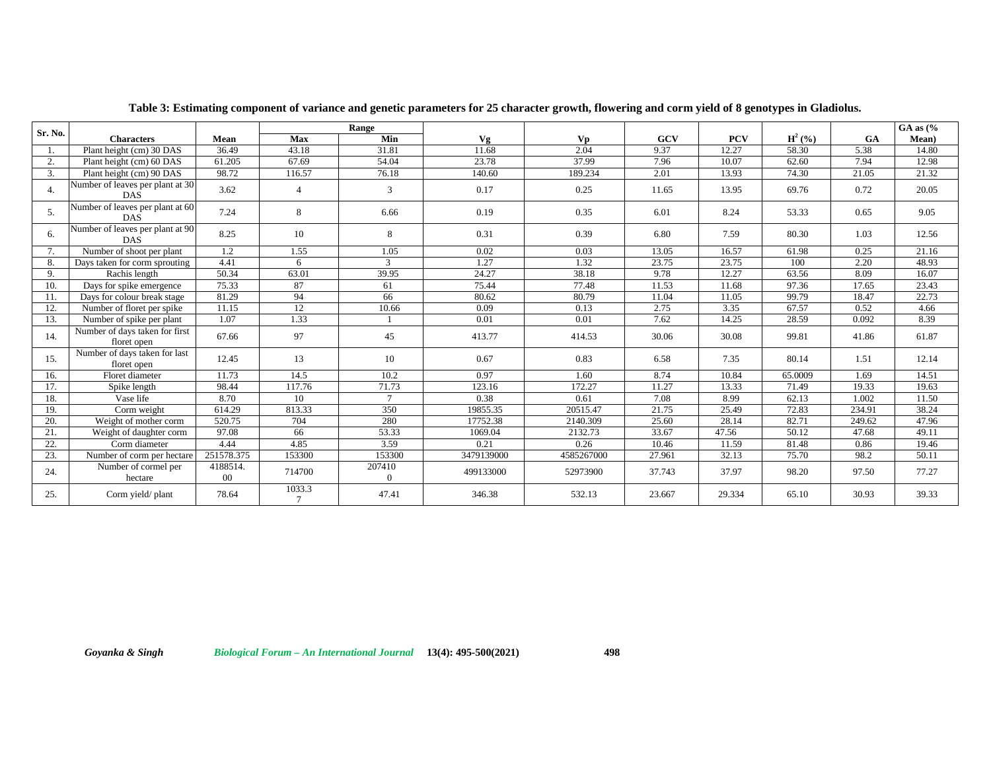| Sr. No. |                                                |                    | Range                    |                    |            |            |        |            |             |           | $GA$ as $\frac{6}{6}$ |
|---------|------------------------------------------------|--------------------|--------------------------|--------------------|------------|------------|--------|------------|-------------|-----------|-----------------------|
|         | <b>Characters</b>                              | Mean               | Max                      | Min                | Vg         | Vp         | GCV    | <b>PCV</b> | $H^2({\%})$ | <b>GA</b> | Mean)                 |
|         | Plant height (cm) 30 DAS                       | 36.49              | 43.18                    | 31.81              | 11.68      | 2.04       | 9.37   | 12.27      | 58.30       | 5.38      | 14.80                 |
| 2.      | Plant height (cm) 60 DAS                       | 61.205             | 67.69                    | 54.04              | 23.78      | 37.99      | 7.96   | 10.07      | 62.60       | 7.94      | 12.98                 |
| 3.      | Plant height (cm) 90 DAS                       | 98.72              | 116.57                   | 76.18              | 140.60     | 189.234    | 2.01   | 13.93      | 74.30       | 21.05     | 21.32                 |
| 4.      | Number of leaves per plant at 30<br><b>DAS</b> | 3.62               | $\overline{4}$           | $\mathcal{R}$      | 0.17       | 0.25       | 11.65  | 13.95      | 69.76       | 0.72      | 20.05                 |
| 5.      | Number of leaves per plant at 60<br><b>DAS</b> | 7.24               | 8                        | 6.66               | 0.19       | 0.35       | 6.01   | 8.24       | 53.33       | 0.65      | 9.05                  |
| 6.      | Number of leaves per plant at 90<br><b>DAS</b> | 8.25               | 10                       | 8                  | 0.31       | 0.39       | 6.80   | 7.59       | 80.30       | 1.03      | 12.56                 |
| 7.      | Number of shoot per plant                      | 1.2                | 1.55                     | 1.05               | 0.02       | 0.03       | 13.05  | 16.57      | 61.98       | 0.25      | 21.16                 |
| 8.      | Days taken for corm sprouting                  | 4.41               | 6                        | 3                  | 1.27       | 1.32       | 23.75  | 23.75      | 100         | 2.20      | 48.93                 |
| 9.      | Rachis length                                  | 50.34              | 63.01                    | 39.95              | 24.27      | 38.18      | 9.78   | 12.27      | 63.56       | 8.09      | 16.07                 |
| 10.     | Days for spike emergence                       | 75.33              | 87                       | 61                 | 75.44      | 77.48      | 11.53  | 11.68      | 97.36       | 17.65     | 23.43                 |
| 11.     | Days for colour break stage                    | 81.29              | 94                       | 66                 | 80.62      | 80.79      | 11.04  | 11.05      | 99.79       | 18.47     | 22.73                 |
| 12.     | Number of floret per spike                     | 11.15              | 12                       | 10.66              | 0.09       | 0.13       | 2.75   | 3.35       | 67.57       | 0.52      | 4.66                  |
| 13.     | Number of spike per plant                      | 1.07               | 1.33                     |                    | 0.01       | 0.01       | 7.62   | 14.25      | 28.59       | 0.092     | 8.39                  |
| 14.     | Number of days taken for first<br>floret open  | 67.66              | 97                       | 45                 | 413.77     | 414.53     | 30.06  | 30.08      | 99.81       | 41.86     | 61.87                 |
| 15.     | Number of days taken for last<br>floret open   | 12.45              | 13                       | 10                 | 0.67       | 0.83       | 6.58   | 7.35       | 80.14       | 1.51      | 12.14                 |
| 16.     | Floret diameter                                | 11.73              | 14.5                     | 10.2               | 0.97       | 1.60       | 8.74   | 10.84      | 65.0009     | 1.69      | 14.51                 |
| 17.     | Spike length                                   | 98.44              | 117.76                   | 71.73              | 123.16     | 172.27     | 11.27  | 13.33      | 71.49       | 19.33     | 19.63                 |
| 18.     | Vase life                                      | 8.70               | 10                       | $\overline{7}$     | 0.38       | 0.61       | 7.08   | 8.99       | 62.13       | 1.002     | 11.50                 |
| 19.     | Corm weight                                    | 614.29             | 813.33                   | 350                | 19855.35   | 20515.47   | 21.75  | 25.49      | 72.83       | 234.91    | 38.24                 |
| 20.     | Weight of mother corm                          | 520.75             | 704                      | 280                | 17752.38   | 2140.309   | 25.60  | 28.14      | 82.71       | 249.62    | 47.96                 |
| 21.     | Weight of daughter corm                        | 97.08              | 66                       | 53.33              | 1069.04    | 2132.73    | 33.67  | 47.56      | 50.12       | 47.68     | 49.11                 |
| 22.     | Corm diameter                                  | 4.44               | 4.85                     | 3.59               | 0.21       | 0.26       | 10.46  | 11.59      | 81.48       | 0.86      | 19.46                 |
| 23.     | Number of corm per hectare                     | 251578.375         | 153300                   | 153300             | 3479139000 | 4585267000 | 27.961 | 32.13      | 75.70       | 98.2      | 50.11                 |
| 24.     | Number of cormel per<br>hectare                | 4188514.<br>$00\,$ | 714700                   | 207410<br>$\theta$ | 499133000  | 52973900   | 37.743 | 37.97      | 98.20       | 97.50     | 77.27                 |
| 25.     | Corm yield/plant                               | 78.64              | 1033.3<br>$\overline{7}$ | 47.41              | 346.38     | 532.13     | 23.667 | 29.334     | 65.10       | 30.93     | 39.33                 |

**Table 3: Estimating component of variance and genetic parameters for 25 character growth, flowering and corm yield of 8 genotypes in Gladiolus.**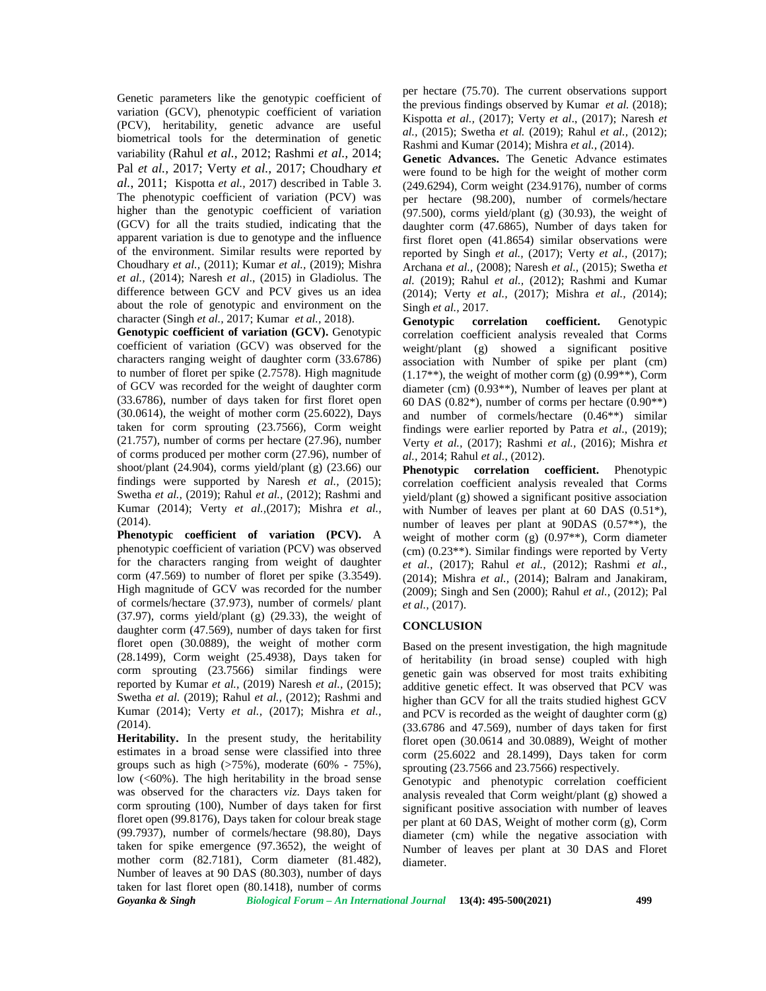Genetic parameters like the genotypic coefficient of variation (GCV), phenotypic coefficient of variation (PCV), heritability, genetic advance are useful biometrical tools for the determination of genetic variability (Rahul *et al.,* 2012; Rashmi *et al.,* 2014; Pal *et al.,* 2017; Verty *et al.,* 2017; Choudhary *et al.*, 2011; Kispotta *et al.,* 2017) described in Table 3. The phenotypic coefficient of variation (PCV) was higher than the genotypic coefficient of variation (GCV) for all the traits studied, indicating that the apparent variation is due to genotype and the influence of the environment. Similar results were reported by Choudhary *et al.,* (2011); Kumar *et al.,* (2019); Mishra *et al.,* (2014); Naresh *et al*., (2015) in Gladiolus. The difference between GCV and PCV gives us an idea about the role of genotypic and environment on the character (Singh *et al.,* 2017; Kumar *et al.,* 2018).

**Genotypic coefficient of variation (GCV).** Genotypic coefficient of variation (GCV) was observed for the characters ranging weight of daughter corm (33.6786) to number of floret per spike (2.7578). High magnitude of GCV was recorded for the weight of daughter corm (33.6786), number of days taken for first floret open  $(30.0614)$ , the weight of mother corm  $(25.6022)$ , Days taken for corm sprouting (23.7566), Corm weight (21.757), number of corms per hectare (27.96), number of corms produced per mother corm (27.96), number of shoot/plant (24.904), corms yield/plant (g) (23.66) our findings were supported by Naresh *et al.,* (2015); Swetha *et al.,* (2019); Rahul *et al.,* (2012); Rashmi and Kumar (2014); Verty *et al.,*(2017); Mishra *et al.,* (2014).

**Phenotypic coefficient of variation (PCV).** A phenotypic coefficient of variation (PCV) was observed for the characters ranging from weight of daughter corm (47.569) to number of floret per spike (3.3549). High magnitude of GCV was recorded for the number of cormels/hectare (37.973), number of cormels/ plant (37.97), corms yield/plant (g) (29.33), the weight of daughter corm (47.569), number of days taken for first floret open (30.0889), the weight of mother corm (28.1499), Corm weight (25.4938), Days taken for corm sprouting (23.7566) similar findings were reported by Kumar *et al.,* (2019) Naresh *et al.,* (2015); Swetha *et al.* (2019); Rahul *et al.,* (2012); Rashmi and Kumar (2014); Verty *et al.,* (2017); Mishra *et al., (*2014).

**Heritability.** In the present study, the heritability estimates in a broad sense were classified into three groups such as high  $(>75%)$ , moderate  $(60% - 75%)$ , low  $(<60\%)$ . The high heritability in the broad sense was observed for the characters *viz*. Days taken for corm sprouting (100), Number of days taken for first floret open (99.8176), Days taken for colour break stage (99.7937), number of cormels/hectare (98.80), Days taken for spike emergence (97.3652), the weight of mother corm (82.7181), Corm diameter (81.482), Number of leaves at 90 DAS (80.303), number of days taken for last floret open (80.1418), number of corms

per hectare (75.70). The current observations support the previous findings observed by Kumar *et al.* (2018); Kispotta *et al.,* (2017); Verty *et al*., (2017); Naresh *et al.,* (2015); Swetha *et al.* (2019); Rahul *et al.,* (2012); Rashmi and Kumar (2014); Mishra *et al., (*2014).

**Genetic Advances.** The Genetic Advance estimates were found to be high for the weight of mother corm (249.6294), Corm weight (234.9176), number of corms per hectare (98.200), number of cormels/hectare (97.500), corms yield/plant (g) (30.93), the weight of daughter corm (47.6865), Number of days taken for first floret open (41.8654) similar observations were reported by Singh *et al.,* (2017); Verty *et al.,* (2017); Archana *et al.,* (2008); Naresh *et al.,* (2015); Swetha *et al.* (2019); Rahul *et al.,* (2012); Rashmi and Kumar (2014); Verty *et al.,* (2017); Mishra *et al., (*2014); Singh *et al.,* 2017.

**Genotypic correlation coefficient.** Genotypic correlation coefficient analysis revealed that Corms weight/plant (g) showed a significant positive association with Number of spike per plant (cm)  $(1.17**)$ , the weight of mother corm  $(g)$   $(0.99**)$ , Corm diameter (cm) (0.93\*\*), Number of leaves per plant at 60 DAS  $(0.82^*)$ , number of corms per hectare  $(0.90^{**})$ and number of cormels/hectare (0.46\*\*) similar findings were earlier reported by Patra *et al*., (2019); Verty *et al.,* (2017); Rashmi *et al.,* (2016); Mishra *et al.,* 2014; Rahul *et al.*, (2012).

**Phenotypic correlation coefficient.** Phenotypic correlation coefficient analysis revealed that Corms yield/plant (g) showed a significant positive association with Number of leaves per plant at 60 DAS  $(0.51^*)$ , number of leaves per plant at 90DAS (0.57\*\*), the weight of mother corm (g) (0.97\*\*), Corm diameter (cm) (0.23\*\*). Similar findings were reported by Verty *et al.,* (2017); Rahul *et al.,* (2012); Rashmi *et al.,* (2014); Mishra *et al.,* (2014); Balram and Janakiram, (2009); Singh and Sen (2000); Rahul *et al.,* (2012); Pal *et al.,* (2017).

#### **CONCLUSION**

Based on the present investigation, the high magnitude of heritability (in broad sense) coupled with high genetic gain was observed for most traits exhibiting additive genetic effect. It was observed that PCV was higher than GCV for all the traits studied highest GCV and PCV is recorded as the weight of daughter corm (g) (33.6786 and 47.569), number of days taken for first floret open (30.0614 and 30.0889), Weight of mother corm (25.6022 and 28.1499), Days taken for corm sprouting (23.7566 and 23.7566) respectively.

Genotypic and phenotypic correlation coefficient analysis revealed that Corm weight/plant (g) showed a significant positive association with number of leaves per plant at 60 DAS, Weight of mother corm (g), Corm diameter (cm) while the negative association with Number of leaves per plant at 30 DAS and Floret diameter.

*Goyanka & Singh Biological Forum – An International Journal* **13(4): 495-500(2021) 499**